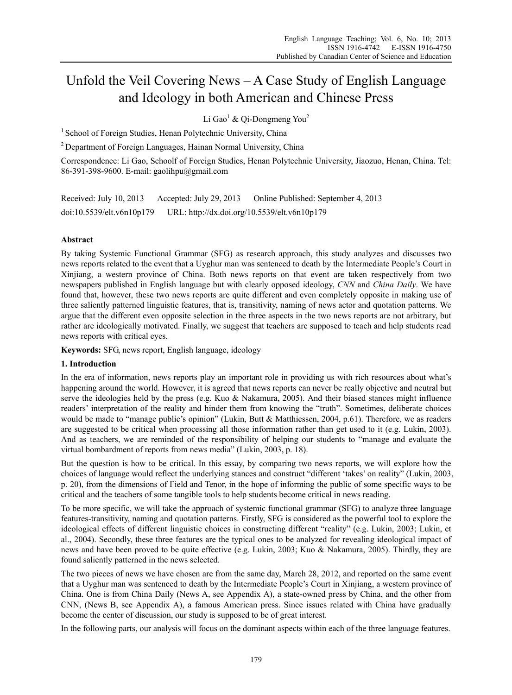# Unfold the Veil Covering News – A Case Study of English Language and Ideology in both American and Chinese Press

Li Gao<sup>1</sup> & Qi-Dongmeng You<sup>2</sup>

<sup>1</sup> School of Foreign Studies, Henan Polytechnic University, China

2 Department of Foreign Languages, Hainan Normal University, China

Correspondence: Li Gao, Schoolf of Foreign Studies, Henan Polytechnic University, Jiaozuo, Henan, China. Tel: 86-391-398-9600. E-mail: gaolihpu@gmail.com

Received: July 10, 2013 Accepted: July 29, 2013 Online Published: September 4, 2013 doi:10.5539/elt.v6n10p179 URL: http://dx.doi.org/10.5539/elt.v6n10p179

# **Abstract**

By taking Systemic Functional Grammar (SFG) as research approach, this study analyzes and discusses two news reports related to the event that a Uyghur man was sentenced to death by the Intermediate People's Court in Xinjiang, a western province of China. Both news reports on that event are taken respectively from two newspapers published in English language but with clearly opposed ideology, *CNN* and *China Daily*. We have found that, however, these two news reports are quite different and even completely opposite in making use of three saliently patterned linguistic features, that is, transitivity, naming of news actor and quotation patterns. We argue that the different even opposite selection in the three aspects in the two news reports are not arbitrary, but rather are ideologically motivated. Finally, we suggest that teachers are supposed to teach and help students read news reports with critical eyes.

**Keywords:** SFG, news report, English language, ideology

# **1. Introduction**

In the era of information, news reports play an important role in providing us with rich resources about what's happening around the world. However, it is agreed that news reports can never be really objective and neutral but serve the ideologies held by the press (e.g. Kuo & Nakamura, 2005). And their biased stances might influence readers' interpretation of the reality and hinder them from knowing the "truth". Sometimes, deliberate choices would be made to "manage public's opinion" (Lukin, Butt & Matthiessen, 2004, p.61). Therefore, we as readers are suggested to be critical when processing all those information rather than get used to it (e.g. Lukin, 2003). And as teachers, we are reminded of the responsibility of helping our students to "manage and evaluate the virtual bombardment of reports from news media" (Lukin, 2003, p. 18).

But the question is how to be critical. In this essay, by comparing two news reports, we will explore how the choices of language would reflect the underlying stances and construct "different 'takes' on reality" (Lukin, 2003, p. 20), from the dimensions of Field and Tenor, in the hope of informing the public of some specific ways to be critical and the teachers of some tangible tools to help students become critical in news reading.

To be more specific, we will take the approach of systemic functional grammar (SFG) to analyze three language features-transitivity, naming and quotation patterns. Firstly, SFG is considered as the powerful tool to explore the ideological effects of different linguistic choices in constructing different "reality" (e.g. Lukin, 2003; Lukin, et al., 2004). Secondly, these three features are the typical ones to be analyzed for revealing ideological impact of news and have been proved to be quite effective (e.g. Lukin, 2003; Kuo & Nakamura, 2005). Thirdly, they are found saliently patterned in the news selected.

The two pieces of news we have chosen are from the same day, March 28, 2012, and reported on the same event that a Uyghur man was sentenced to death by the Intermediate People's Court in Xinjiang, a western province of China. One is from China Daily (News A, see Appendix A), a state-owned press by China, and the other from CNN, (News B, see Appendix A), a famous American press. Since issues related with China have gradually become the center of discussion, our study is supposed to be of great interest.

In the following parts, our analysis will focus on the dominant aspects within each of the three language features.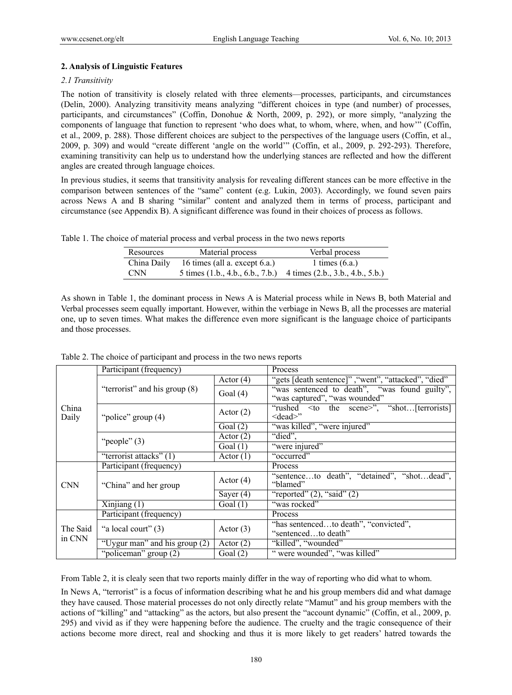## **2. Analysis of Linguistic Features**

#### *2.1 Transitivity*

The notion of transitivity is closely related with three elements—processes, participants, and circumstances (Delin, 2000). Analyzing transitivity means analyzing "different choices in type (and number) of processes, participants, and circumstances" (Coffin, Donohue & North, 2009, p. 292), or more simply, "analyzing the components of language that function to represent 'who does what, to whom, where, when, and how'" (Coffin, et al., 2009, p. 288). Those different choices are subject to the perspectives of the language users (Coffin, et al., 2009, p. 309) and would "create different 'angle on the world'" (Coffin, et al., 2009, p. 292-293). Therefore, examining transitivity can help us to understand how the underlying stances are reflected and how the different angles are created through language choices.

In previous studies, it seems that transitivity analysis for revealing different stances can be more effective in the comparison between sentences of the "same" content (e.g. Lukin, 2003). Accordingly, we found seven pairs across News A and B sharing "similar" content and analyzed them in terms of process, participant and circumstance (see Appendix B). A significant difference was found in their choices of process as follows.

Table 1. The choice of material process and verbal process in the two news reports

| Resources   | Material process                                                      | Verbal process   |
|-------------|-----------------------------------------------------------------------|------------------|
| China Daily | 16 times (all a. except 6.a.)                                         | 1 times $(6.a.)$ |
| <b>CNN</b>  | 5 times $(1.b., 4.b., 6.b., 7.b.)$ 4 times $(2.b., 3.b., 4.b., 5.b.)$ |                  |

As shown in Table 1, the dominant process in News A is Material process while in News B, both Material and Verbal processes seem equally important. However, within the verbiage in News B, all the processes are material one, up to seven times. What makes the difference even more significant is the language choice of participants and those processes.

|                    | Participant (frequency)                        |                        | Process                                                                        |  |
|--------------------|------------------------------------------------|------------------------|--------------------------------------------------------------------------------|--|
| China<br>Daily     |                                                | Actor $(4)$            | "gets [death sentence]", "went", "attacked", "died"                            |  |
|                    | "terrorist" and his group (8)                  | Goal $(4)$             | "was sentenced to death", "was found guilty",<br>"was captured", "was wounded" |  |
|                    | "police" group (4)                             | Actor $(2)$            | "rushed <to scene="" the="">", "shot[terrorists]<br/><dead>"</dead></to>       |  |
|                    |                                                | Goal $(2)$             | "was killed", "were injured"                                                   |  |
|                    |                                                | Actor $(2)$            | "died",                                                                        |  |
|                    | "people" $(3)$                                 | $\overline{G}$ oal (1) | "were injured"                                                                 |  |
|                    | "terrorist attacks" $(1)$                      | $\overline{Actor(1)}$  | "occurred"                                                                     |  |
| <b>CNN</b>         | Participant (frequency)                        |                        | Process                                                                        |  |
|                    | "China" and her group                          | Actor $(4)$            | "sentenceto death", "detained", "shotdead",<br>"blamed"                        |  |
|                    |                                                | Sayer $(4)$            | "reported" $(2)$ , "said" $(2)$                                                |  |
|                    | $\overline{\text{Xinjiang}}(1)$                | Goal $(1)$             | "was rocked"                                                                   |  |
|                    | Participant (frequency)                        |                        | Process                                                                        |  |
| The Said<br>in CNN | "a local court" (3)<br>Actor $(3)$             |                        | "has sentencedto death", "convicted",<br>"sentencedto death"                   |  |
|                    | "Uygur man" and his group $(2)$<br>Actor $(2)$ |                        | "killed", "wounded"                                                            |  |
|                    | "policeman" group (2)                          | Goal $(2)$             | " were wounded", "was killed"                                                  |  |

Table 2. The choice of participant and process in the two news reports

From Table 2, it is clealy seen that two reports mainly differ in the way of reporting who did what to whom.

In News A, "terrorist" is a focus of information describing what he and his group members did and what damage they have caused. Those material processes do not only directly relate "Mamut" and his group members with the actions of "killing" and "attacking" as the actors, but also present the "account dynamic" (Coffin, et al., 2009, p. 295) and vivid as if they were happening before the audience. The cruelty and the tragic consequence of their actions become more direct, real and shocking and thus it is more likely to get readers' hatred towards the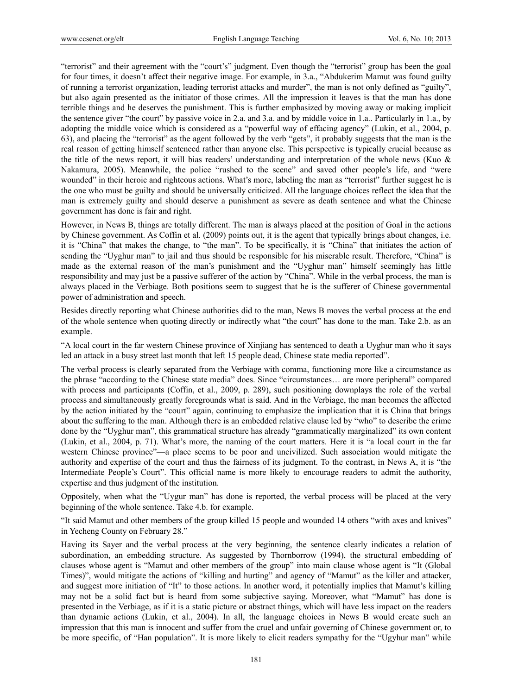"terrorist" and their agreement with the "court's" judgment. Even though the "terrorist" group has been the goal for four times, it doesn't affect their negative image. For example, in 3.a., "Abdukerim Mamut was found guilty of running a terrorist organization, leading terrorist attacks and murder", the man is not only defined as "guilty", but also again presented as the initiator of those crimes. All the impression it leaves is that the man has done terrible things and he deserves the punishment. This is further emphasized by moving away or making implicit the sentence giver "the court" by passive voice in 2.a. and 3.a. and by middle voice in 1.a.. Particularly in 1.a., by adopting the middle voice which is considered as a "powerful way of effacing agency" (Lukin, et al., 2004, p. 63), and placing the "terrorist" as the agent followed by the verb "gets", it probably suggests that the man is the real reason of getting himself sentenced rather than anyone else. This perspective is typically crucial because as the title of the news report, it will bias readers' understanding and interpretation of the whole news (Kuo & Nakamura, 2005). Meanwhile, the police "rushed to the scene" and saved other people's life, and "were wounded" in their heroic and righteous actions. What's more, labeling the man as "terrorist" further suggest he is the one who must be guilty and should be universally criticized. All the language choices reflect the idea that the man is extremely guilty and should deserve a punishment as severe as death sentence and what the Chinese government has done is fair and right.

However, in News B, things are totally different. The man is always placed at the position of Goal in the actions by Chinese government. As Coffin et al. (2009) points out, it is the agent that typically brings about changes, i.e. it is "China" that makes the change, to "the man". To be specifically, it is "China" that initiates the action of sending the "Uyghur man" to jail and thus should be responsible for his miserable result. Therefore, "China" is made as the external reason of the man's punishment and the "Uyghur man" himself seemingly has little responsibility and may just be a passive sufferer of the action by "China". While in the verbal process, the man is always placed in the Verbiage. Both positions seem to suggest that he is the sufferer of Chinese governmental power of administration and speech.

Besides directly reporting what Chinese authorities did to the man, News B moves the verbal process at the end of the whole sentence when quoting directly or indirectly what "the court" has done to the man. Take 2.b. as an example.

"A local court in the far western Chinese province of Xinjiang has sentenced to death a Uyghur man who it says led an attack in a busy street last month that left 15 people dead, Chinese state media reported".

The verbal process is clearly separated from the Verbiage with comma, functioning more like a circumstance as the phrase "according to the Chinese state media" does. Since "circumstances… are more peripheral" compared with process and participants (Coffin, et al., 2009, p. 289), such positioning downplays the role of the verbal process and simultaneously greatly foregrounds what is said. And in the Verbiage, the man becomes the affected by the action initiated by the "court" again, continuing to emphasize the implication that it is China that brings about the suffering to the man. Although there is an embedded relative clause led by "who" to describe the crime done by the "Uyghur man", this grammatical structure has already "grammatically marginalized" its own content (Lukin, et al., 2004, p. 71). What's more, the naming of the court matters. Here it is "a local court in the far western Chinese province"—a place seems to be poor and uncivilized. Such association would mitigate the authority and expertise of the court and thus the fairness of its judgment. To the contrast, in News A, it is "the Intermediate People's Court". This official name is more likely to encourage readers to admit the authority, expertise and thus judgment of the institution.

Oppositely, when what the "Uygur man" has done is reported, the verbal process will be placed at the very beginning of the whole sentence. Take 4.b. for example.

"It said Mamut and other members of the group killed 15 people and wounded 14 others "with axes and knives" in Yecheng County on February 28."

Having its Sayer and the verbal process at the very beginning, the sentence clearly indicates a relation of subordination, an embedding structure. As suggested by Thornborrow (1994), the structural embedding of clauses whose agent is "Mamut and other members of the group" into main clause whose agent is "It (Global Times)", would mitigate the actions of "killing and hurting" and agency of "Mamut" as the killer and attacker, and suggest more initiation of "It" to those actions. In another word, it potentially implies that Mamut's killing may not be a solid fact but is heard from some subjective saying. Moreover, what "Mamut" has done is presented in the Verbiage, as if it is a static picture or abstract things, which will have less impact on the readers than dynamic actions (Lukin, et al., 2004). In all, the language choices in News B would create such an impression that this man is innocent and suffer from the cruel and unfair governing of Chinese government or, to be more specific, of "Han population". It is more likely to elicit readers sympathy for the "Ugyhur man" while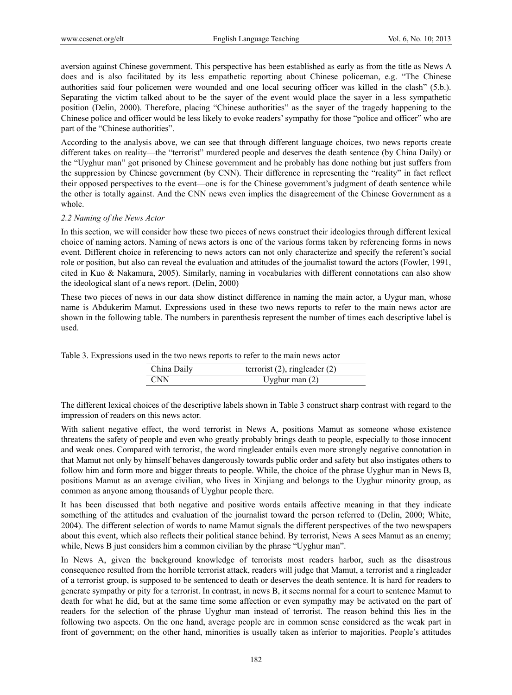aversion against Chinese government. This perspective has been established as early as from the title as News A does and is also facilitated by its less empathetic reporting about Chinese policeman, e.g. "The Chinese authorities said four policemen were wounded and one local securing officer was killed in the clash" (5.b.). Separating the victim talked about to be the sayer of the event would place the sayer in a less sympathetic position (Delin, 2000). Therefore, placing "Chinese authorities" as the sayer of the tragedy happening to the Chinese police and officer would be less likely to evoke readers' sympathy for those "police and officer" who are part of the "Chinese authorities".

According to the analysis above, we can see that through different language choices, two news reports create different takes on reality—the "terrorist" murdered people and deserves the death sentence (by China Daily) or the "Uyghur man" got prisoned by Chinese government and he probably has done nothing but just suffers from the suppression by Chinese government (by CNN). Their difference in representing the "reality" in fact reflect their opposed perspectives to the event—one is for the Chinese government's judgment of death sentence while the other is totally against. And the CNN news even implies the disagreement of the Chinese Government as a whole.

#### *2.2 Naming of the News Actor*

In this section, we will consider how these two pieces of news construct their ideologies through different lexical choice of naming actors. Naming of news actors is one of the various forms taken by referencing forms in news event. Different choice in referencing to news actors can not only characterize and specify the referent's social role or position, but also can reveal the evaluation and attitudes of the journalist toward the actors (Fowler, 1991, cited in Kuo & Nakamura, 2005). Similarly, naming in vocabularies with different connotations can also show the ideological slant of a news report. (Delin, 2000)

These two pieces of news in our data show distinct difference in naming the main actor, a Uygur man, whose name is Abdukerim Mamut. Expressions used in these two news reports to refer to the main news actor are shown in the following table. The numbers in parenthesis represent the number of times each descriptive label is used.

| China Daily | terrorist $(2)$ , ringleader $(2)$ |
|-------------|------------------------------------|
| <b>CNN</b>  | Uyghur man $(2)$                   |

Table 3. Expressions used in the two news reports to refer to the main news actor

The different lexical choices of the descriptive labels shown in Table 3 construct sharp contrast with regard to the impression of readers on this news actor.

With salient negative effect, the word terrorist in News A, positions Mamut as someone whose existence threatens the safety of people and even who greatly probably brings death to people, especially to those innocent and weak ones. Compared with terrorist, the word ringleader entails even more strongly negative connotation in that Mamut not only by himself behaves dangerously towards public order and safety but also instigates others to follow him and form more and bigger threats to people. While, the choice of the phrase Uyghur man in News B, positions Mamut as an average civilian, who lives in Xinjiang and belongs to the Uyghur minority group, as common as anyone among thousands of Uyghur people there.

It has been discussed that both negative and positive words entails affective meaning in that they indicate something of the attitudes and evaluation of the journalist toward the person referred to (Delin, 2000; White, 2004). The different selection of words to name Mamut signals the different perspectives of the two newspapers about this event, which also reflects their political stance behind. By terrorist, News A sees Mamut as an enemy; while, News B just considers him a common civilian by the phrase "Uyghur man".

In News A, given the background knowledge of terrorists most readers harbor, such as the disastrous consequence resulted from the horrible terrorist attack, readers will judge that Mamut, a terrorist and a ringleader of a terrorist group, is supposed to be sentenced to death or deserves the death sentence. It is hard for readers to generate sympathy or pity for a terrorist. In contrast, in news B, it seems normal for a court to sentence Mamut to death for what he did, but at the same time some affection or even sympathy may be activated on the part of readers for the selection of the phrase Uyghur man instead of terrorist. The reason behind this lies in the following two aspects. On the one hand, average people are in common sense considered as the weak part in front of government; on the other hand, minorities is usually taken as inferior to majorities. People's attitudes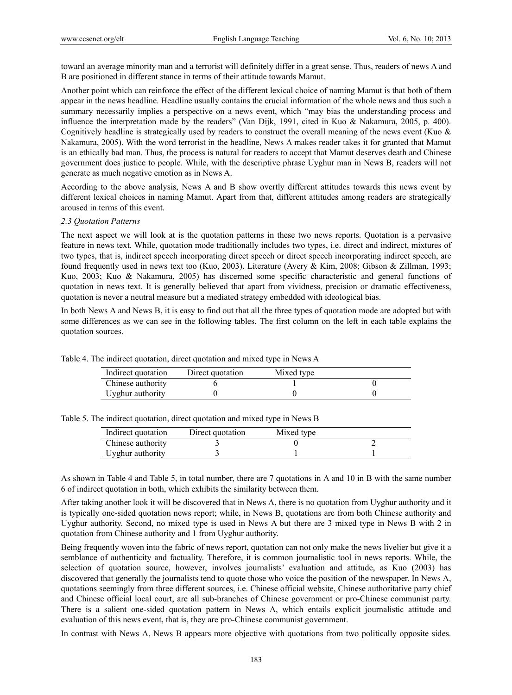toward an average minority man and a terrorist will definitely differ in a great sense. Thus, readers of news A and B are positioned in different stance in terms of their attitude towards Mamut.

Another point which can reinforce the effect of the different lexical choice of naming Mamut is that both of them appear in the news headline. Headline usually contains the crucial information of the whole news and thus such a summary necessarily implies a perspective on a news event, which "may bias the understanding process and influence the interpretation made by the readers" (Van Dijk, 1991, cited in Kuo & Nakamura, 2005, p. 400). Cognitively headline is strategically used by readers to construct the overall meaning of the news event (Kuo  $\&$ Nakamura, 2005). With the word terrorist in the headline, News A makes reader takes it for granted that Mamut is an ethically bad man. Thus, the process is natural for readers to accept that Mamut deserves death and Chinese government does justice to people. While, with the descriptive phrase Uyghur man in News B, readers will not generate as much negative emotion as in News A.

According to the above analysis, News A and B show overtly different attitudes towards this news event by different lexical choices in naming Mamut. Apart from that, different attitudes among readers are strategically aroused in terms of this event.

#### *2.3 Quotation Patterns*

The next aspect we will look at is the quotation patterns in these two news reports. Quotation is a pervasive feature in news text. While, quotation mode traditionally includes two types, i.e. direct and indirect, mixtures of two types, that is, indirect speech incorporating direct speech or direct speech incorporating indirect speech, are found frequently used in news text too (Kuo, 2003). Literature (Avery & Kim, 2008; Gibson & Zillman, 1993; Kuo, 2003; Kuo & Nakamura, 2005) has discerned some specific characteristic and general functions of quotation in news text. It is generally believed that apart from vividness, precision or dramatic effectiveness, quotation is never a neutral measure but a mediated strategy embedded with ideological bias.

In both News A and News B, it is easy to find out that all the three types of quotation mode are adopted but with some differences as we can see in the following tables. The first column on the left in each table explains the quotation sources.

| Indirect quotation | Direct quotation | Mixed type |  |
|--------------------|------------------|------------|--|
| Chinese authority  |                  |            |  |
| Uyghur authority   |                  |            |  |
|                    |                  |            |  |

Table 4. The indirect quotation, direct quotation and mixed type in News A

| Indirect quotation | Direct quotation | Mixed type |  |
|--------------------|------------------|------------|--|
| Chinese authority  |                  |            |  |
| Uyghur authority   |                  |            |  |

As shown in Table 4 and Table 5, in total number, there are 7 quotations in A and 10 in B with the same number 6 of indirect quotation in both, which exhibits the similarity between them.

After taking another look it will be discovered that in News A, there is no quotation from Uyghur authority and it is typically one-sided quotation news report; while, in News B, quotations are from both Chinese authority and Uyghur authority. Second, no mixed type is used in News A but there are 3 mixed type in News B with 2 in quotation from Chinese authority and 1 from Uyghur authority.

Being frequently woven into the fabric of news report, quotation can not only make the news livelier but give it a semblance of authenticity and factuality. Therefore, it is common journalistic tool in news reports. While, the selection of quotation source, however, involves journalists' evaluation and attitude, as Kuo (2003) has discovered that generally the journalists tend to quote those who voice the position of the newspaper. In News A, quotations seemingly from three different sources, i.e. Chinese official website, Chinese authoritative party chief and Chinese official local court, are all sub-branches of Chinese government or pro-Chinese communist party. There is a salient one-sided quotation pattern in News A, which entails explicit journalistic attitude and evaluation of this news event, that is, they are pro-Chinese communist government.

In contrast with News A, News B appears more objective with quotations from two politically opposite sides.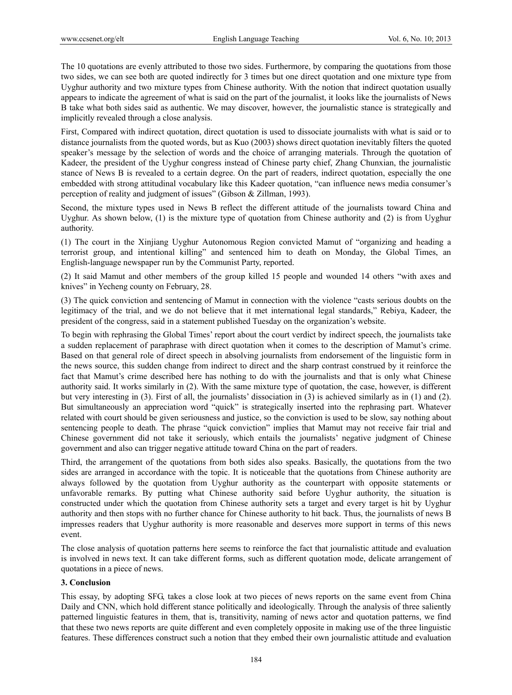The 10 quotations are evenly attributed to those two sides. Furthermore, by comparing the quotations from those two sides, we can see both are quoted indirectly for 3 times but one direct quotation and one mixture type from Uyghur authority and two mixture types from Chinese authority. With the notion that indirect quotation usually appears to indicate the agreement of what is said on the part of the journalist, it looks like the journalists of News B take what both sides said as authentic. We may discover, however, the journalistic stance is strategically and implicitly revealed through a close analysis.

First, Compared with indirect quotation, direct quotation is used to dissociate journalists with what is said or to distance journalists from the quoted words, but as Kuo (2003) shows direct quotation inevitably filters the quoted speaker's message by the selection of words and the choice of arranging materials. Through the quotation of Kadeer, the president of the Uyghur congress instead of Chinese party chief, Zhang Chunxian, the journalistic stance of News B is revealed to a certain degree. On the part of readers, indirect quotation, especially the one embedded with strong attitudinal vocabulary like this Kadeer quotation, "can influence news media consumer's perception of reality and judgment of issues" (Gibson & Zillman, 1993).

Second, the mixture types used in News B reflect the different attitude of the journalists toward China and Uyghur. As shown below, (1) is the mixture type of quotation from Chinese authority and (2) is from Uyghur authority.

(1) The court in the Xinjiang Uyghur Autonomous Region convicted Mamut of "organizing and heading a terrorist group, and intentional killing" and sentenced him to death on Monday, the Global Times, an English-language newspaper run by the Communist Party, reported.

(2) It said Mamut and other members of the group killed 15 people and wounded 14 others "with axes and knives" in Yecheng county on February, 28.

(3) The quick conviction and sentencing of Mamut in connection with the violence "casts serious doubts on the legitimacy of the trial, and we do not believe that it met international legal standards," Rebiya, Kadeer, the president of the congress, said in a statement published Tuesday on the organization's website.

To begin with rephrasing the Global Times' report about the court verdict by indirect speech, the journalists take a sudden replacement of paraphrase with direct quotation when it comes to the description of Mamut's crime. Based on that general role of direct speech in absolving journalists from endorsement of the linguistic form in the news source, this sudden change from indirect to direct and the sharp contrast construed by it reinforce the fact that Mamut's crime described here has nothing to do with the journalists and that is only what Chinese authority said. It works similarly in (2). With the same mixture type of quotation, the case, however, is different but very interesting in (3). First of all, the journalists' dissociation in (3) is achieved similarly as in (1) and (2). But simultaneously an appreciation word "quick" is strategically inserted into the rephrasing part. Whatever related with court should be given seriousness and justice, so the conviction is used to be slow, say nothing about sentencing people to death. The phrase "quick conviction" implies that Mamut may not receive fair trial and Chinese government did not take it seriously, which entails the journalists' negative judgment of Chinese government and also can trigger negative attitude toward China on the part of readers.

Third, the arrangement of the quotations from both sides also speaks. Basically, the quotations from the two sides are arranged in accordance with the topic. It is noticeable that the quotations from Chinese authority are always followed by the quotation from Uyghur authority as the counterpart with opposite statements or unfavorable remarks. By putting what Chinese authority said before Uyghur authority, the situation is constructed under which the quotation from Chinese authority sets a target and every target is hit by Uyghur authority and then stops with no further chance for Chinese authority to hit back. Thus, the journalists of news B impresses readers that Uyghur authority is more reasonable and deserves more support in terms of this news event.

The close analysis of quotation patterns here seems to reinforce the fact that journalistic attitude and evaluation is involved in news text. It can take different forms, such as different quotation mode, delicate arrangement of quotations in a piece of news.

## **3. Conclusion**

This essay, by adopting SFG, takes a close look at two pieces of news reports on the same event from China Daily and CNN, which hold different stance politically and ideologically. Through the analysis of three saliently patterned linguistic features in them, that is, transitivity, naming of news actor and quotation patterns, we find that these two news reports are quite different and even completely opposite in making use of the three linguistic features. These differences construct such a notion that they embed their own journalistic attitude and evaluation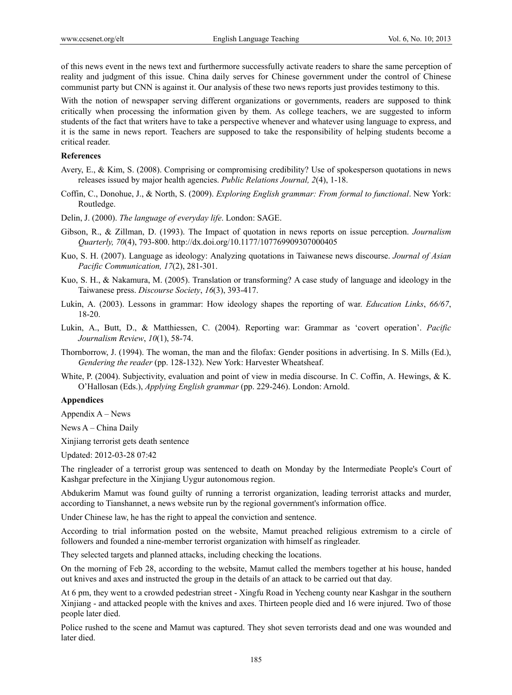of this news event in the news text and furthermore successfully activate readers to share the same perception of reality and judgment of this issue. China daily serves for Chinese government under the control of Chinese communist party but CNN is against it. Our analysis of these two news reports just provides testimony to this.

With the notion of newspaper serving different organizations or governments, readers are supposed to think critically when processing the information given by them. As college teachers, we are suggested to inform students of the fact that writers have to take a perspective whenever and whatever using language to express, and it is the same in news report. Teachers are supposed to take the responsibility of helping students become a critical reader.

#### **References**

- Avery, E., & Kim, S. (2008). Comprising or compromising credibility? Use of spokesperson quotations in news releases issued by major health agencies. *Public Relations Journal, 2*(4), 1-18.
- Coffin, C., Donohue, J., & North, S. (2009). *Exploring English grammar: From formal to functional*. New York: Routledge.
- Delin, J. (2000). *The language of everyday life*. London: SAGE.
- Gibson, R., & Zillman, D. (1993). The Impact of quotation in news reports on issue perception. *Journalism Quarterly, 70*(4), 793-800. http://dx.doi.org/10.1177/107769909307000405
- Kuo, S. H. (2007). Language as ideology: Analyzing quotations in Taiwanese news discourse. *Journal of Asian Pacific Communication, 17*(2), 281-301.
- Kuo, S. H., & Nakamura, M. (2005). Translation or transforming? A case study of language and ideology in the Taiwanese press. *Discourse Society*, *16*(3), 393-417.
- Lukin, A. (2003). Lessons in grammar: How ideology shapes the reporting of war. *Education Links*, *66/67*, 18-20.
- Lukin, A., Butt, D., & Matthiessen, C. (2004). Reporting war: Grammar as 'covert operation'. *Pacific Journalism Review*, *10*(1), 58-74.
- Thornborrow, J. (1994). The woman, the man and the filofax: Gender positions in advertising. In S. Mills (Ed.), *Gendering the reader* (pp. 128-132). New York: Harvester Wheatsheaf.
- White, P. (2004). Subjectivity, evaluation and point of view in media discourse. In C. Coffin, A. Hewings, & K. O'Hallosan (Eds.), *Applying English grammar* (pp. 229-246). London: Arnold.

#### **Appendices**

Appendix A – News

News A – China Daily

Xinjiang terrorist gets death sentence

Updated: 2012-03-28 07:42

The ringleader of a terrorist group was sentenced to death on Monday by the Intermediate People's Court of Kashgar prefecture in the Xinjiang Uygur autonomous region.

Abdukerim Mamut was found guilty of running a terrorist organization, leading terrorist attacks and murder, according to Tianshannet, a news website run by the regional government's information office.

Under Chinese law, he has the right to appeal the conviction and sentence.

According to trial information posted on the website, Mamut preached religious extremism to a circle of followers and founded a nine-member terrorist organization with himself as ringleader.

They selected targets and planned attacks, including checking the locations.

On the morning of Feb 28, according to the website, Mamut called the members together at his house, handed out knives and axes and instructed the group in the details of an attack to be carried out that day.

At 6 pm, they went to a crowded pedestrian street - Xingfu Road in Yecheng county near Kashgar in the southern Xinjiang - and attacked people with the knives and axes. Thirteen people died and 16 were injured. Two of those people later died.

Police rushed to the scene and Mamut was captured. They shot seven terrorists dead and one was wounded and later died.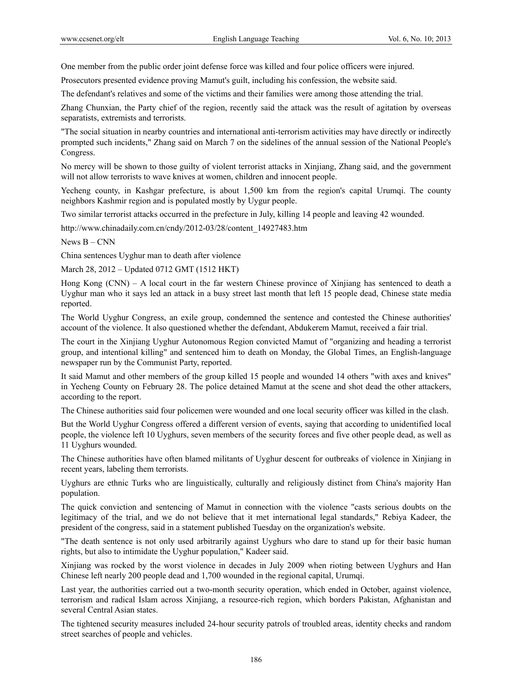One member from the public order joint defense force was killed and four police officers were injured.

Prosecutors presented evidence proving Mamut's guilt, including his confession, the website said.

The defendant's relatives and some of the victims and their families were among those attending the trial.

Zhang Chunxian, the Party chief of the region, recently said the attack was the result of agitation by overseas separatists, extremists and terrorists.

"The social situation in nearby countries and international anti-terrorism activities may have directly or indirectly prompted such incidents," Zhang said on March 7 on the sidelines of the annual session of the National People's Congress.

No mercy will be shown to those guilty of violent terrorist attacks in Xinjiang, Zhang said, and the government will not allow terrorists to wave knives at women, children and innocent people.

Yecheng county, in Kashgar prefecture, is about 1,500 km from the region's capital Urumqi. The county neighbors Kashmir region and is populated mostly by Uygur people.

Two similar terrorist attacks occurred in the prefecture in July, killing 14 people and leaving 42 wounded.

http://www.chinadaily.com.cn/cndy/2012-03/28/content\_14927483.htm

News B – CNN

China sentences Uyghur man to death after violence

March 28, 2012 – Updated 0712 GMT (1512 HKT)

Hong Kong (CNN) – A local court in the far western Chinese province of Xinjiang has sentenced to death a Uyghur man who it says led an attack in a busy street last month that left 15 people dead, Chinese state media reported.

The World Uyghur Congress, an exile group, condemned the sentence and contested the Chinese authorities' account of the violence. It also questioned whether the defendant, Abdukerem Mamut, received a fair trial.

The court in the Xinjiang Uyghur Autonomous Region convicted Mamut of "organizing and heading a terrorist group, and intentional killing" and sentenced him to death on Monday, the Global Times, an English-language newspaper run by the Communist Party, reported.

It said Mamut and other members of the group killed 15 people and wounded 14 others "with axes and knives" in Yecheng County on February 28. The police detained Mamut at the scene and shot dead the other attackers, according to the report.

The Chinese authorities said four policemen were wounded and one local security officer was killed in the clash.

But the World Uyghur Congress offered a different version of events, saying that according to unidentified local people, the violence left 10 Uyghurs, seven members of the security forces and five other people dead, as well as 11 Uyghurs wounded.

The Chinese authorities have often blamed militants of Uyghur descent for outbreaks of violence in Xinjiang in recent years, labeling them terrorists.

Uyghurs are ethnic Turks who are linguistically, culturally and religiously distinct from China's majority Han population.

The quick conviction and sentencing of Mamut in connection with the violence "casts serious doubts on the legitimacy of the trial, and we do not believe that it met international legal standards," Rebiya Kadeer, the president of the congress, said in a statement published Tuesday on the organization's website.

"The death sentence is not only used arbitrarily against Uyghurs who dare to stand up for their basic human rights, but also to intimidate the Uyghur population," Kadeer said.

Xinjiang was rocked by the worst violence in decades in July 2009 when rioting between Uyghurs and Han Chinese left nearly 200 people dead and 1,700 wounded in the regional capital, Urumqi.

Last year, the authorities carried out a two-month security operation, which ended in October, against violence, terrorism and radical Islam across Xinjiang, a resource-rich region, which borders Pakistan, Afghanistan and several Central Asian states.

The tightened security measures included 24-hour security patrols of troubled areas, identity checks and random street searches of people and vehicles.